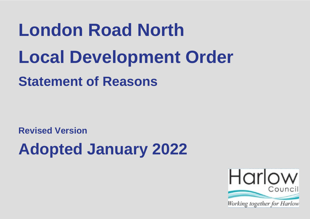# **London Road North Local Development Order Statement of Reasons**

**Revised Version**

**Adopted January 2022**

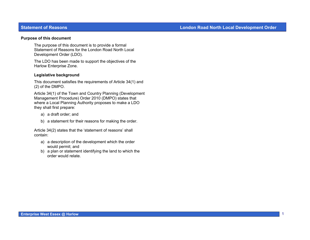#### **Purpose of this document**

The purpose of this document is to provide a formal Statement of Reasons for the London Road North Local Development Order (LDO).

The LDO has been made to support the objectives of the Harlow Enterprise Zone.

#### **Legislative background**

This document satisfies the requirements of Article 34(1) and (2) of the DMPO.

Article 34(1) of the Town and Country Planning (Development Management Procedure) Order 2010 (DMPO) states that where a Local Planning Authority proposes to make a LDO they shall first prepare:

- a) a draft order; and
- b) a statement for their reasons for making the order.

Article 34(2) states that the 'statement of reasons' shall contain:

- a) a description of the development which the order would permit; and
- b) a plan or statement identifying the land to which the order would relate.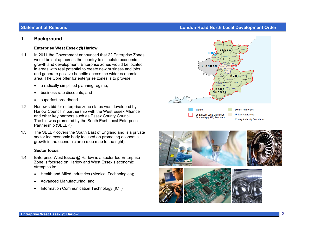# **1. Background**

## **Enterprise West Essex @ Harlow**

- 1.1 In 2011 the Government announced that 22 Enterprise Zones would be set up across the country to stimulate economic growth and development. Enterprise zones would be located in areas with real potential to create new business and jobs and generate positive benefits across the wider economic area. The Core offer for enterprise zones is to provide:
	- a radically simplified planning regime;
	- business rate discounts; and
	- superfast broadband.
- 1.2 Harlow's bid for enterprise zone status was developed by Harlow Council in partnership with the West Essex Alliance and other key partners such as Essex County Council. The bid was promoted by the South East Local Enterprise Partnership (SELEP).
- 1.3 The SELEP covers the South East of England and is a private sector led economic body focused on promoting economic growth in the economic area (see map to the right).

## **Sector focus**

- 1.4 Enterprise West Essex @ Harlow is a sector-led Enterprise Zone is focused on Harlow and West Essex's economic strengths in:
	- Health and Allied Industries (Medical Technologies);
	- Advanced Manufacturing; and
	- Information Communication Technology (ICT).







# **Statement of Reasons Contract Construction Construction Construction Construction Construction Construction Construction Construction Construction Construction Construction Construction Construction Construction Construct**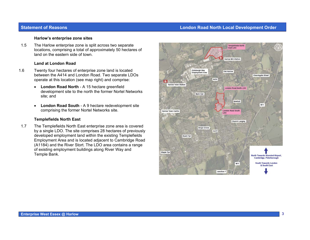# **Statement of Reasons Contract Construction Construction Construction Construction Construction Construction Construction Construction Construction Construction Construction Construction Construction Construction Construct**

#### **Harlow's enterprise zone sites**

1.5 The Harlow enterprise zone is split across two separate locations, comprising a total of approximately 50 hectares of land on the eastern side of town.

#### **Land at London Road**

- 1.6 Twenty four hectares of enterprise zone land is located between the A414 and London Road. Two separate LDOs operate at this location (see map right) and comprise:
	- **London Road North** A 15 hectare greenfield development site to the north the former Nortel Networks site; and
	- $\bullet$  **London Road South** - A 9 hectare redevelopment site comprising the former Nortel Networks site.

## **Templefields North East**

1.7 The Templefields North East enterprise zone area is covered by a single LDO. The site comprises 28 hectares of previously developed employment land within the existing Templefields Employment Area and is located adjacent to Cambridge Road (A1184) and the River Stort. The LDO area contains a range of existing employment buildings along River Way and Temple Bank.

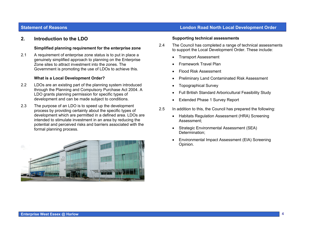# **2. Introduction to the LDO**

#### **Simplified planning requirement for the enterprise zone**

2.1 A requirement of enterprise zone status is to put in place a genuinely simplified approach to planning on the Enterprise Zone sites to attract investment into the zones. The Government is promoting the use of LDOs to achieve this.

## **What is a Local Development Order?**

- 2.2 LDOs are an existing part of the planning system introduced through the Planning and Compulsory Purchase Act 2004. A LDO grants planning permission for specific types of development and can be made subject to conditions.
- 2.3 The purpose of an LDO is to speed up the development process by providing certainty about the specific types of development which are permitted in a defined area. LDOs are intended to stimulate investment in an area by reducing the potential and perceived risks and barriers associated with the formal planning process.



# **Statement of Reasons Contract Construction Construction Construction Construction Construction Construction Construction Construction Construction Construction Construction Construction Construction Construction Construct**

#### **Supporting technical assessments**

- 2.4 The Council has completed a range of technical assessments to support the Local Development Order. These include:
	- Transport Assessment
	- Framework Travel Plan
	- Flood Risk Assessment
	- Preliminary Land Contaminated Risk Assessment
	- Topographical Survey
	- Full British Standard Arboricultural Feasibility Study
	- Extended Phase 1 Survey Report
- 2.5 In addition to this, the Council has prepared the following:
	- Habitats Regulation Assessment (HRA) Screening Assessment;
	- Strategic Environmental Assessment (SEA) Determination;
	- Environmental Impact Assessment (EIA) Screening Opinion.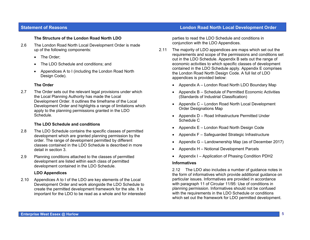## **The Structure of the London Road North LDO**

- 2.6 The London Road North Local Development Order is made up of the following components:
	- The Order;
	- The LDO Schedule and conditions; and
	- Appendices A to I (including the London Road North Design Code).

## **The Order**

2.7 The Order sets out the relevant legal provisions under which the Local Planning Authority has made the Local Development Order. It outlines the timeframe of the Local Development Order and highlights a range of limitations which apply to the planning permissions granted in the LDO Schedule.

## **The LDO Schedule and conditions**

- 2.8 The LDO Schedule contains the specific classes of permitted development which are granted planning permission by the order. The range of development permitted by different classes contained in the LDO Schedule is described in more detail in section 3.
- 2.9 Planning conditions attached to the classes of permitted development are listed within each class of permitted development contained in the LDO Schedule.

## **LDO Appendices**

2.10 Appendices A to I of the LDO are key elements of the Local Development Order and work alongside the LDO Schedule to create the permitted development framework for the site. It is important for the LDO to be read as a whole and for interested

# **Statement of Reasons London Road North Local Development Order**

parties to read the LDO Schedule and conditions in conjunction with the LDO Appendices.

- 2.11 The majority of LDO appendices are maps which set out the requirements and scope of the permissions and conditions set out in the LDO Schedule. Appendix B sets out the range of economic activities to which specific classes of development contained in the LDO Schedule apply. Appendix E comprises the London Road North Design Code. A full list of LDO appendices is provided below:
	- Appendix A London Road North LDO Boundary Map
	- Appendix B Schedule of Permitted Economic Activities (Standards of Industrial Classification)
	- Appendix C London Road North Local Development Order Designations Map
	- Appendix D Road Infrastructure Permitted Under Schedule C
	- Appendix E London Road North Design Code
	- Appendix F Safeguarded Strategic Infrastructure
	- Appendix G Landownership Map (as of December 2017)
	- Appendix H Notional Development Parcels
	- Appendix I Application of Phasing Condition PDH2

#### **Informatives**

2.12 The LDO also includes a number of guidance notes in the form of informatives which provide additional guidance on particular issues. Informatives are provided in accordance with paragraph 11 of Circular 11/95: Use of conditions in planning permission. Informatives should not be confused with the requirements in the LDO Schedule or conditions which set out the framework for LDO permitted development.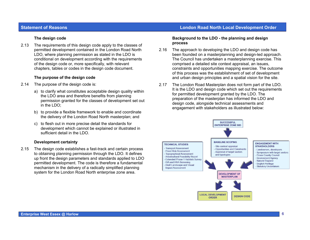## **The design code**

2.13 The requirements of this design code apply to the classes of permitted development contained in the London Road North LDO, where planning permission as stated in the LDO is conditional on development according with the requirements of the design code or, more specifically, with relevant chapters, tables or codes in the design code document.

#### **The purpose of the design code**

- 2.14 The purpose of the design code is:
	- a) to clarify what constitutes acceptable design quality within the LDO area and therefore benefits from planning permission granted for the classes of development set out in the LDO;
	- b) to provide a flexible framework to enable and coordinate the delivery of the London Road North masterplan; and
	- c) to flesh out in more precise detail the standards for development which cannot be explained or illustrated in sufficient detail in the LDO.

#### **Development certainty**

2.15 The design code establishes a fast-track and certain process to obtaining planning permission through the LDO. It defines up front the design parameters and standards applied to LDO permitted development. The code is therefore a fundamental mechanism in the delivery of a radically simplified planning system for the London Road North enterprise zone area.

## **Statement of Reasons London Road North Local Development Order**

#### **Background to the LDO - the planning and design process**

- 2.16 The approach to developing the LDO and design code has been founded on a masterplanning and design-led approach. The Council has undertaken a masterplanning exercise. This comprised a detailed site context appraisal, an issues, constraints and opportunities mapping exercise. The outcome of this process was the establishment of set of development and urban design principles and a spatial vision for the site.
- 2.17 The London Road Masterplan does not form part of the LDO. It is the LDO and design code which set out the requirements for permitted development granted by the LDO. The preparation of the masterplan has informed the LDO and design code, alongside technical assessments and engagement with stakeholders as illustrated below:

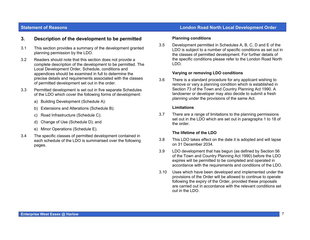# **3. Description of the development to be permitted**

- 3.1 This section provides a summary of the development granted planning permission by the LDO.
- 3.2 Readers should note that this section does not provide a complete description of the development to be permitted. The Local Development Order, Schedule, conditions and appendices should be examined in full to determine the precise details and requirements associated with the classes of permitted development set out in the order.
- 3.3 Permitted development is set out in five separate Schedules of the LDO which cover the following forms of development:
	- a) Building Development (Schedule A):
	- b) Extensions and Alterations (Schedule B);
	- c) Road Infrastructure (Schedule C);
	- d) Change of Use (Schedule D); and
	- e) Minor Operations (Schedule E).
- 3.4 The specific classes of permitted development contained in each schedule of the LDO is summarised over the following pages.

#### **Planning conditions**

3.5 Development permitted in Schedules A, B, C, D and E of the LDO is subject to a number of specific conditions as set out in the classes of permitted development. For further details of the specific conditions please refer to the London Road North LDO.

#### **Varying or removing LDO conditions**

3.6 There is a standard procedure for any applicant wishing to remove or vary a planning condition which is established in Section 73 of the Town and Country Planning Act 1990. A landowner or developer may also decide to submit a fresh planning under the provisions of the same Act.

#### **Limitations**

3.7 There are a range of limitations to the planning permissions set out in the LDO which are set out in paragraphs 1 to 18 of the order.

#### **The lifetime of the LDO**

- 3.8 This LDO takes effect on the date it is adopted and will lapse on 31 December 2034.
- 3.9 LDO development that has begun (as defined by Section 56 of the Town and Country Planning Act 1990) before the LDO expires will be permitted to be completed and operated in accordance with the requirements and conditions of the LDO.
- 3.10 Uses which have been developed and implemented under the provisions of the Order will be allowed to continue to operate following the expiry of the Order, provided these proposals are carried out in accordance with the relevant conditions set out in the LDO.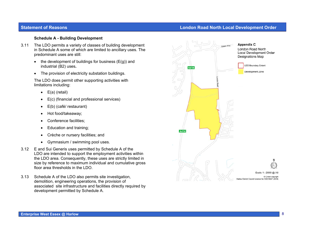#### **Schedule A - Building Development**

- 3.11 The LDO permits a variety of classes of building development in Schedule A some of which are limited to ancillary uses. The predominant uses are still:
	- the development of buildings for business  $(E(g))$  and industrial (B2) uses**.**
	- The provision of electricity substation buildings.

The LDO does permit other supporting activities with limitations including:

- $\bullet$  E(a) (retail)
- E(c) (financial and professional services)
- E(b) (café/ restaurant)
- Hot food/takeaway;
- Conference facilities;
- Education and training;
- Crèche or nursery facilities; and
- Gymnasium / swimming pool uses.
- 3.12 E and Sui Generis uses permitted by Schedule A of the LDO are intended to support the employment activities within the LDO area. Consequently, these uses are strictly limited in size by reference to maximum individual and cumulative gross floor area thresholds in the LDO.
- 3.13 Schedule A of the LDO also permits site investigation, demolition, engineering operations, the provision of associated site infrastructure and facilities directly required by development permitted by Schedule A.

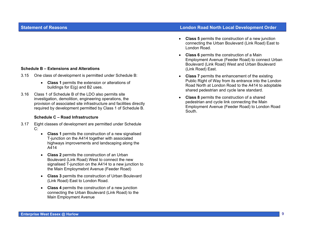## **Schedule B – Extensions and Alterations**

- 3.15 One class of development is permitted under Schedule B:
	- **Class 1** permits the extension or alterations of buildings for E(g) and B2 uses.
- 3.16 Class 1 of Schedule B of the LDO also permits site investigation, demolition, engineering operations, the provision of associated site infrastructure and facilities directly required by development permitted by Class 1 of Schedule B.

#### **Schedule C – Road Infrastructure**

- 3.17 Eight classes of development are permitted under Schedule C:
	- **Class 1** permits the construction of a new signalised T-junction on the A414 together with associated highways improvements and landscaping along the A414
	- **Class 2** permits the construction of an Urban Boulevard (Link Road) West to connect the new signalised T-junction on the A414 to a new junction to the Main Employmebnt Avenue (Feeder Road)
	- **Class 3** permits the construction of Urban Boulevard (Link Road) East to London Road.
	- **Class 4** permits the construction of a new junction connecting the Urban Boulevard (Link Road) to the Main Employment Avenue

# **Statement of Reasons London Road North Local Development Order**

- **Class 5** permits the construction of a new junction connecting the Urban Boulevard (Link Road) East to London Road.
- **Class 6** permits the construction of a Main Employment Avenue (Feeder Road) to connect Urban Boulevard (Link Road) West and Urban Boulevard (Link Road) East.
- **Class 7** permits the enhancement of the existing Public Right of Way from its entrance into the London Road North at London Road to the A414 to adoptable shared pedestrian and cycle lane standard.
- **Class 8** permits the construction of a shared pedestrian and cycle link connecting the Main Employment Avenue (Feeder Road) to London Road South.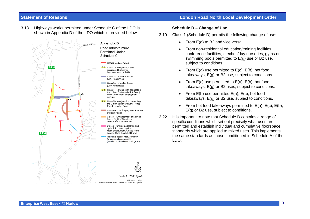3.18 Highways works permitted under Schedule C of the LDO is shown in Appendix D of the LDO which is provided below:



## **Schedule D – Change of Use**

- 3.19 Class 1 (Schedule D) permits the following change of use:
	- From E(g) to B2 and vice versa.
	- From non-residential education/training facilities, conference facilities, creches/day nurseries, gyms or swimming pools permitted to E(g) use or B2 use, subject to conditions.
	- From  $E(a)$  use permitted to  $E(c)$ ,  $E(b)$ , hot food takeaways, E(g) or B2 use, subject to conditions.
	- From  $E(c)$  use permitted to  $E(a)$ ,  $E(b)$ , hot food takeaways, E(g) or B2 uses, subject to conditions.
	- From  $E(b)$  use permitted  $E(a)$ ,  $E(c)$ , hot food takeaways, E(g) or B2 use, subject to conditions.
	- From hot food takeaways permitted to  $E(a)$ ,  $E(c)$ ,  $E(b)$ , E(g) or B2 use, subject to conditions.
- 3.22 It is important to note that Schedule D contains a range of specific conditions which set out precisely what uses are permitted and establish individual and cumulative floorspace standards which are applied to mixed uses. This implements the same standards as those conditioned in Schedule A of the LDO.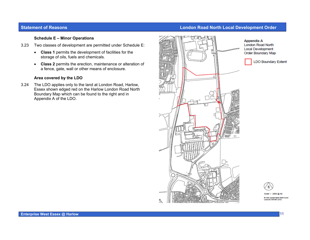#### **Schedule E – Minor Operations**

- 3.23 Two classes of development are permitted under Schedule E:
	- **Class 1** permits the development of facilities for the storage of oils, fuels and chemicals.
	- **Class 2** permits the erection, maintenance or alteration of a fence, gate, wall or other means of enclosure.

## **Area covered by the LDO**

3.24 The LDO applies only to the land at London Road, Harlow, Essex shown edged red on the Harlow London Road North Boundary Map which can be found to the right and in Appendix A of the LDO.